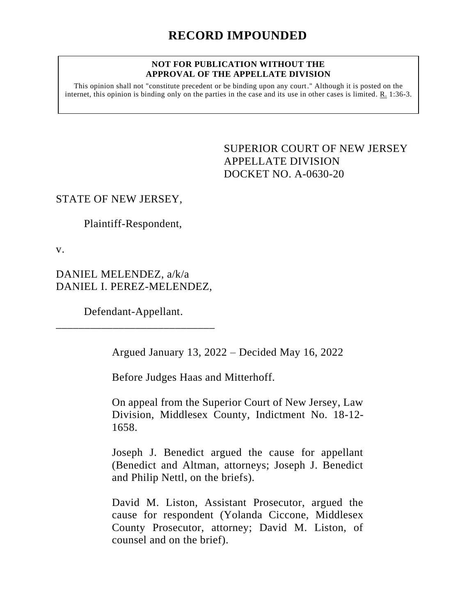## **NOT FOR PUBLICATION WITHOUT THE APPROVAL OF THE APPELLATE DIVISION**

This opinion shall not "constitute precedent or be binding upon any court." Although it is posted on the internet, this opinion is binding only on the parties in the case and its use in other cases is limited.  $R_1$  1:36-3.

> <span id="page-0-0"></span>SUPERIOR COURT OF NEW JERSEY APPELLATE DIVISION DOCKET NO. A-0630-20

## STATE OF NEW JERSEY,

Plaintiff-Respondent,

v.

DANIEL MELENDEZ, a/k/a DANIEL I. PEREZ-MELENDEZ,

Defendant-Appellant. \_\_\_\_\_\_\_\_\_\_\_\_\_\_\_\_\_\_\_\_\_\_\_\_\_\_\_\_

Argued January 13, 2022 – Decided May 16, 2022

Before Judges Haas and Mitterhoff.

On appeal from the Superior Court of New Jersey, Law Division, Middlesex County, Indictment No. 18-12- 1658.

Joseph J. Benedict argued the cause for appellant (Benedict and Altman, attorneys; Joseph J. Benedict and Philip Nettl, on the briefs).

David M. Liston, Assistant Prosecutor, argued the cause for respondent (Yolanda Ciccone, Middlesex County Prosecutor, attorney; David M. Liston, of counsel and on the brief).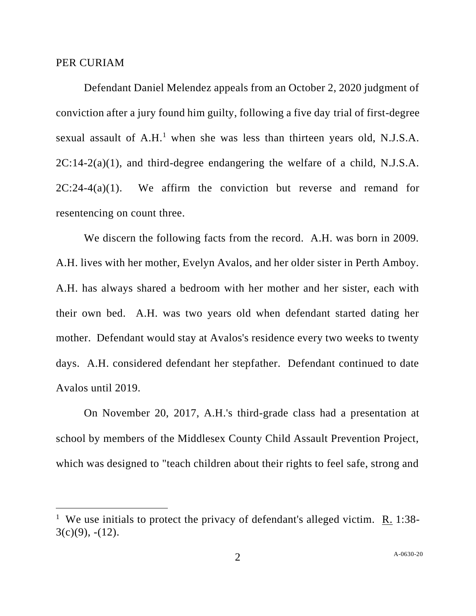PER CURIAM

Defendant Daniel Melendez appeals from an October 2, 2020 judgment of conviction after a jury found him guilty, following a five day trial of first-degree sexual assault of  $A.H.$ <sup>1</sup> when she was less than thirteen years old, N.J.S.A.  $2C:14-2(a)(1)$ , and third-degree endangering the welfare of a child, N.J.S.A.  $2C:24-4(a)(1)$ . We affirm the conviction but reverse and remand for resentencing on count three.

We discern the following facts from the record. A.H. was born in 2009. A.H. lives with her mother, Evelyn Avalos, and her older sister in Perth Amboy. A.H. has always shared a bedroom with her mother and her sister, each with their own bed. A.H. was two years old when defendant started dating her mother. Defendant would stay at Avalos's residence every two weeks to twenty days. A.H. considered defendant her stepfather. Defendant continued to date Avalos until 2019.

On November 20, 2017, A.H.'s third-grade class had a presentation at school by members of the Middlesex County Child Assault Prevention Project, which was designed to "teach children about their rights to feel safe, strong and

<sup>&</sup>lt;sup>1</sup> We use initials to protect the privacy of defendant's alleged victim. R. 1:38- $3(c)(9)$ ,  $-(12)$ .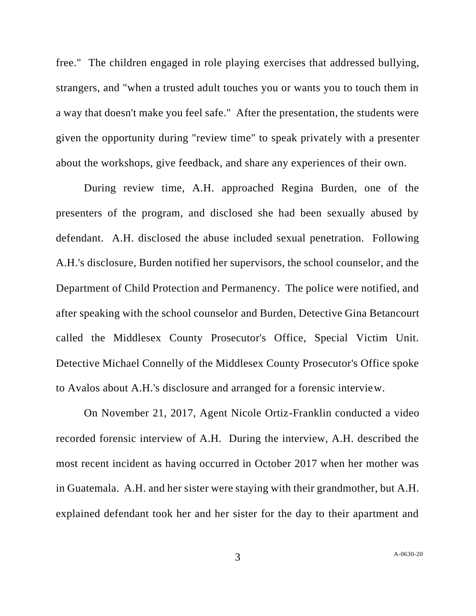free." The children engaged in role playing exercises that addressed bullying, strangers, and "when a trusted adult touches you or wants you to touch them in a way that doesn't make you feel safe." After the presentation, the students were given the opportunity during "review time" to speak privately with a presenter about the workshops, give feedback, and share any experiences of their own.

During review time, A.H. approached Regina Burden, one of the presenters of the program, and disclosed she had been sexually abused by defendant. A.H. disclosed the abuse included sexual penetration. Following A.H.'s disclosure, Burden notified her supervisors, the school counselor, and the Department of Child Protection and Permanency. The police were notified, and after speaking with the school counselor and Burden, Detective Gina Betancourt called the Middlesex County Prosecutor's Office, Special Victim Unit. Detective Michael Connelly of the Middlesex County Prosecutor's Office spoke to Avalos about A.H.'s disclosure and arranged for a forensic interview.

On November 21, 2017, Agent Nicole Ortiz-Franklin conducted a video recorded forensic interview of A.H. During the interview, A.H. described the most recent incident as having occurred in October 2017 when her mother was in Guatemala. A.H. and her sister were staying with their grandmother, but A.H. explained defendant took her and her sister for the day to their apartment and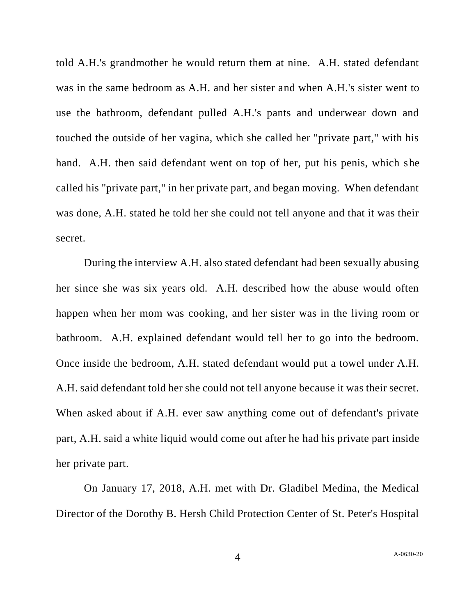told A.H.'s grandmother he would return them at nine. A.H. stated defendant was in the same bedroom as A.H. and her sister and when A.H.'s sister went to use the bathroom, defendant pulled A.H.'s pants and underwear down and touched the outside of her vagina, which she called her "private part," with his hand. A.H. then said defendant went on top of her, put his penis, which she called his "private part," in her private part, and began moving. When defendant was done, A.H. stated he told her she could not tell anyone and that it was their secret.

During the interview A.H. also stated defendant had been sexually abusing her since she was six years old. A.H. described how the abuse would often happen when her mom was cooking, and her sister was in the living room or bathroom. A.H. explained defendant would tell her to go into the bedroom. Once inside the bedroom, A.H. stated defendant would put a towel under A.H. A.H. said defendant told her she could not tell anyone because it was their secret. When asked about if A.H. ever saw anything come out of defendant's private part, A.H. said a white liquid would come out after he had his private part inside her private part.

On January 17, 2018, A.H. met with Dr. Gladibel Medina, the Medical Director of the Dorothy B. Hersh Child Protection Center of St. Peter's Hospital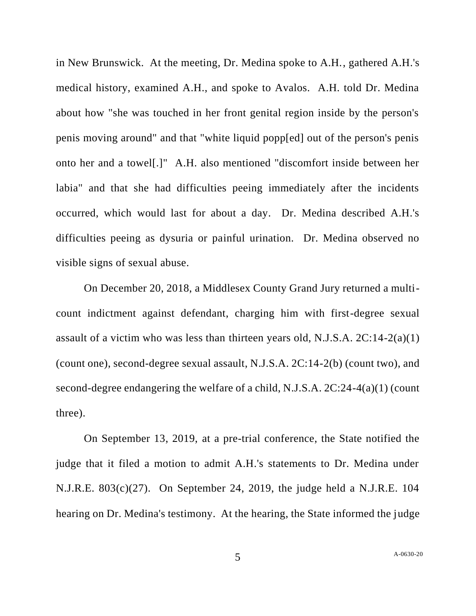in New Brunswick. At the meeting, Dr. Medina spoke to A.H., gathered A.H.'s medical history, examined A.H., and spoke to Avalos. A.H. told Dr. Medina about how "she was touched in her front genital region inside by the person's penis moving around" and that "white liquid popp[ed] out of the person's penis onto her and a towel[.]" A.H. also mentioned "discomfort inside between her labia" and that she had difficulties peeing immediately after the incidents occurred, which would last for about a day. Dr. Medina described A.H.'s difficulties peeing as dysuria or painful urination. Dr. Medina observed no visible signs of sexual abuse.

On December 20, 2018, a Middlesex County Grand Jury returned a multicount indictment against defendant, charging him with first-degree sexual assault of a victim who was less than thirteen years old, N.J.S.A. 2C:14-2(a)(1) (count one), second-degree sexual assault, N.J.S.A. 2C:14-2(b) (count two), and second-degree endangering the welfare of a child, N.J.S.A. 2C:24-4(a)(1) (count three).

On September 13, 2019, at a pre-trial conference, the State notified the judge that it filed a motion to admit A.H.'s statements to Dr. Medina under N.J.R.E. 803(c)(27). On September 24, 2019, the judge held a N.J.R.E. 104 hearing on Dr. Medina's testimony. At the hearing, the State informed the judge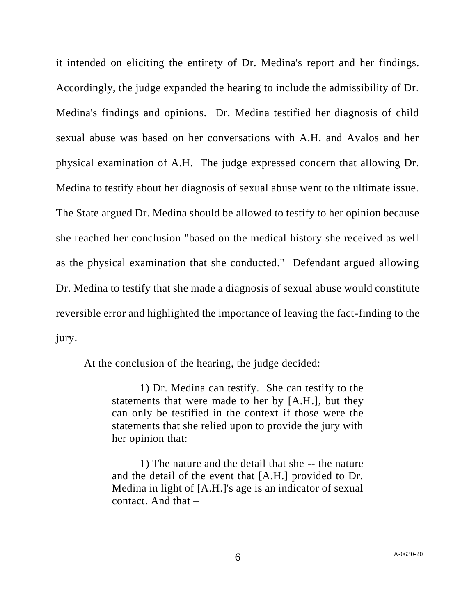it intended on eliciting the entirety of Dr. Medina's report and her findings. Accordingly, the judge expanded the hearing to include the admissibility of Dr. Medina's findings and opinions. Dr. Medina testified her diagnosis of child sexual abuse was based on her conversations with A.H. and Avalos and her physical examination of A.H. The judge expressed concern that allowing Dr. Medina to testify about her diagnosis of sexual abuse went to the ultimate issue. The State argued Dr. Medina should be allowed to testify to her opinion because she reached her conclusion "based on the medical history she received as well as the physical examination that she conducted." Defendant argued allowing Dr. Medina to testify that she made a diagnosis of sexual abuse would constitute reversible error and highlighted the importance of leaving the fact-finding to the jury.

At the conclusion of the hearing, the judge decided:

1) Dr. Medina can testify. She can testify to the statements that were made to her by [A.H.], but they can only be testified in the context if those were the statements that she relied upon to provide the jury with her opinion that:

1) The nature and the detail that she -- the nature and the detail of the event that [A.H.] provided to Dr. Medina in light of [A.H.]'s age is an indicator of sexual contact. And that –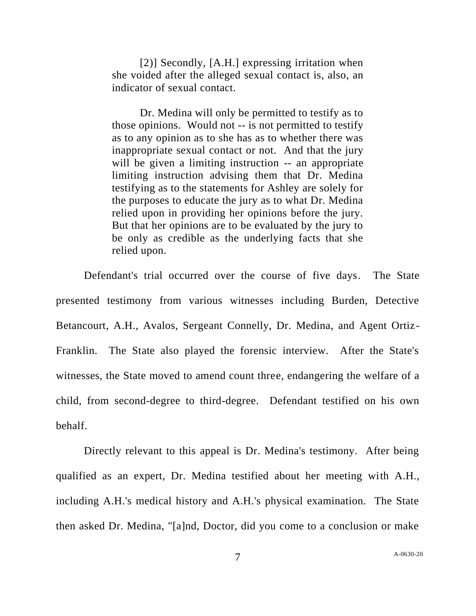[2)] Secondly, [A.H.] expressing irritation when she voided after the alleged sexual contact is, also, an indicator of sexual contact.

Dr. Medina will only be permitted to testify as to those opinions. Would not -- is not permitted to testify as to any opinion as to she has as to whether there was inappropriate sexual contact or not. And that the jury will be given a limiting instruction -- an appropriate limiting instruction advising them that Dr. Medina testifying as to the statements for Ashley are solely for the purposes to educate the jury as to what Dr. Medina relied upon in providing her opinions before the jury. But that her opinions are to be evaluated by the jury to be only as credible as the underlying facts that she relied upon.

Defendant's trial occurred over the course of five days. The State presented testimony from various witnesses including Burden, Detective Betancourt, A.H., Avalos, Sergeant Connelly, Dr. Medina, and Agent Ortiz-Franklin. The State also played the forensic interview. After the State's witnesses, the State moved to amend count three, endangering the welfare of a child, from second-degree to third-degree. Defendant testified on his own behalf.

Directly relevant to this appeal is Dr. Medina's testimony. After being qualified as an expert, Dr. Medina testified about her meeting with A.H., including A.H.'s medical history and A.H.'s physical examination. The State then asked Dr. Medina, "[a]nd, Doctor, did you come to a conclusion or make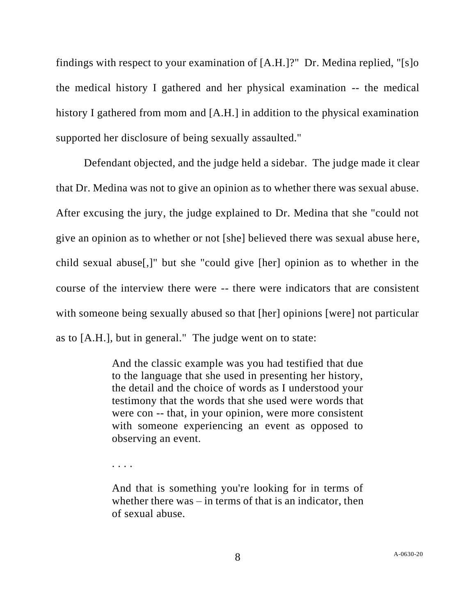findings with respect to your examination of [A.H.]?" Dr. Medina replied, "[s]o the medical history I gathered and her physical examination -- the medical history I gathered from mom and [A.H.] in addition to the physical examination supported her disclosure of being sexually assaulted."

Defendant objected, and the judge held a sidebar. The judge made it clear that Dr. Medina was not to give an opinion as to whether there was sexual abuse. After excusing the jury, the judge explained to Dr. Medina that she "could not give an opinion as to whether or not [she] believed there was sexual abuse here, child sexual abuse[,]" but she "could give [her] opinion as to whether in the course of the interview there were -- there were indicators that are consistent with someone being sexually abused so that [her] opinions [were] not particular as to [A.H.], but in general." The judge went on to state:

> And the classic example was you had testified that due to the language that she used in presenting her history, the detail and the choice of words as I understood your testimony that the words that she used were words that were con -- that, in your opinion, were more consistent with someone experiencing an event as opposed to observing an event.

. . . .

And that is something you're looking for in terms of whether there  $was - in terms of that is an indicator, then$ of sexual abuse.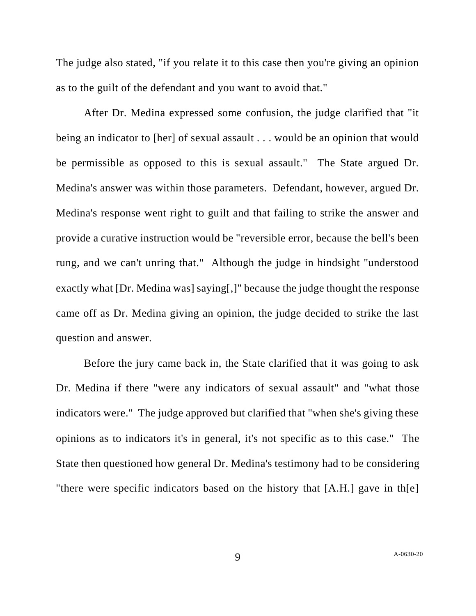The judge also stated, "if you relate it to this case then you're giving an opinion as to the guilt of the defendant and you want to avoid that."

After Dr. Medina expressed some confusion, the judge clarified that "it being an indicator to [her] of sexual assault . . . would be an opinion that would be permissible as opposed to this is sexual assault." The State argued Dr. Medina's answer was within those parameters. Defendant, however, argued Dr. Medina's response went right to guilt and that failing to strike the answer and provide a curative instruction would be "reversible error, because the bell's been rung, and we can't unring that." Although the judge in hindsight "understood exactly what [Dr. Medina was] saying[,]" because the judge thought the response came off as Dr. Medina giving an opinion, the judge decided to strike the last question and answer.

Before the jury came back in, the State clarified that it was going to ask Dr. Medina if there "were any indicators of sexual assault" and "what those indicators were." The judge approved but clarified that "when she's giving these opinions as to indicators it's in general, it's not specific as to this case." The State then questioned how general Dr. Medina's testimony had to be considering "there were specific indicators based on the history that [A.H.] gave in th[e]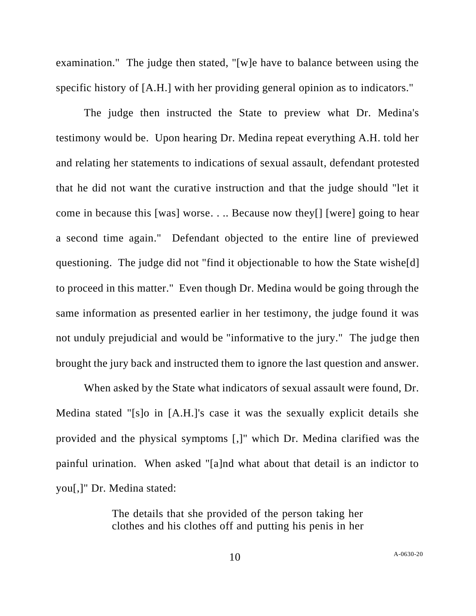examination." The judge then stated, "[w]e have to balance between using the specific history of [A.H.] with her providing general opinion as to indicators."

The judge then instructed the State to preview what Dr. Medina's testimony would be. Upon hearing Dr. Medina repeat everything A.H. told her and relating her statements to indications of sexual assault, defendant protested that he did not want the curative instruction and that the judge should "let it come in because this [was] worse. . .. Because now they[] [were] going to hear a second time again." Defendant objected to the entire line of previewed questioning. The judge did not "find it objectionable to how the State wishe[d] to proceed in this matter." Even though Dr. Medina would be going through the same information as presented earlier in her testimony, the judge found it was not unduly prejudicial and would be "informative to the jury." The judge then brought the jury back and instructed them to ignore the last question and answer.

When asked by the State what indicators of sexual assault were found, Dr. Medina stated "[s]o in [A.H.]'s case it was the sexually explicit details she provided and the physical symptoms [,]" which Dr. Medina clarified was the painful urination. When asked "[a]nd what about that detail is an indictor to you[,]" Dr. Medina stated:

> The details that she provided of the person taking her clothes and his clothes off and putting his penis in her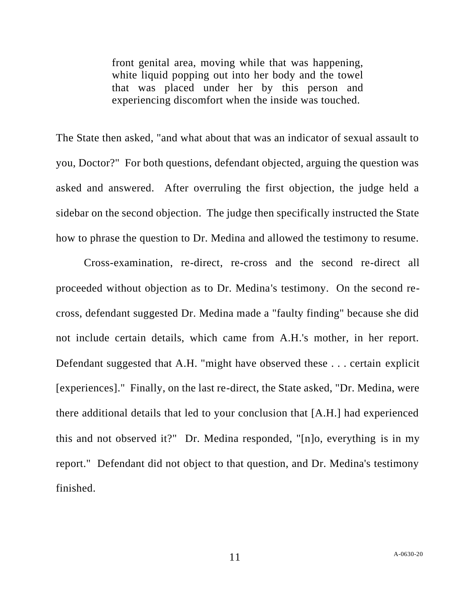front genital area, moving while that was happening, white liquid popping out into her body and the towel that was placed under her by this person and experiencing discomfort when the inside was touched.

The State then asked, "and what about that was an indicator of sexual assault to you, Doctor?" For both questions, defendant objected, arguing the question was asked and answered. After overruling the first objection, the judge held a sidebar on the second objection. The judge then specifically instructed the State how to phrase the question to Dr. Medina and allowed the testimony to resume.

Cross-examination, re-direct, re-cross and the second re-direct all proceeded without objection as to Dr. Medina's testimony. On the second recross, defendant suggested Dr. Medina made a "faulty finding" because she did not include certain details, which came from A.H.'s mother, in her report. Defendant suggested that A.H. "might have observed these . . . certain explicit [experiences]." Finally, on the last re-direct, the State asked, "Dr. Medina, were there additional details that led to your conclusion that [A.H.] had experienced this and not observed it?" Dr. Medina responded, "[n]o, everything is in my report." Defendant did not object to that question, and Dr. Medina's testimony finished.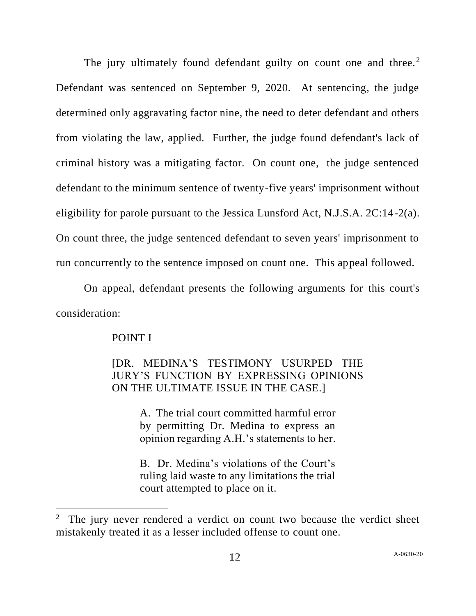The jury ultimately found defendant guilty on count one and three.<sup>2</sup> Defendant was sentenced on September 9, 2020. At sentencing, the judge determined only aggravating factor nine, the need to deter defendant and others from violating the law, applied. Further, the judge found defendant's lack of criminal history was a mitigating factor. On count one, the judge sentenced defendant to the minimum sentence of twenty-five years' imprisonment without eligibility for parole pursuant to the Jessica Lunsford Act, N.J.S.A. 2C:14-2(a). On count three, the judge sentenced defendant to seven years' imprisonment to run concurrently to the sentence imposed on count one. This appeal followed.

On appeal, defendant presents the following arguments for this court's consideration:

## POINT I

## [DR. MEDINA'S TESTIMONY USURPED THE JURY'S FUNCTION BY EXPRESSING OPINIONS ON THE ULTIMATE ISSUE IN THE CASE.]

A. The trial court committed harmful error by permitting Dr. Medina to express an opinion regarding A.H.'s statements to her.

B. Dr. Medina's violations of the Court's ruling laid waste to any limitations the trial court attempted to place on it.

<sup>&</sup>lt;sup>2</sup> The jury never rendered a verdict on count two because the verdict sheet mistakenly treated it as a lesser included offense to count one.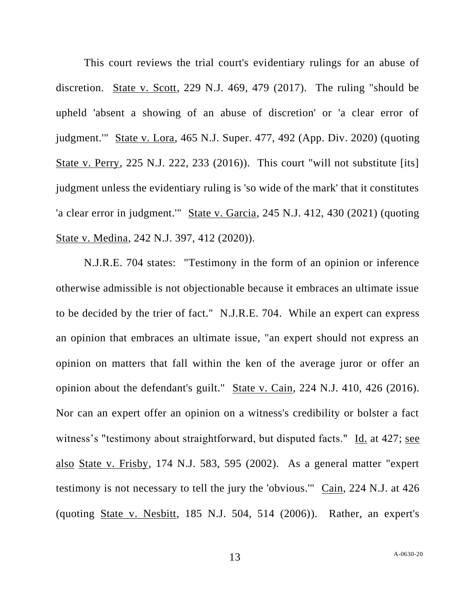This court reviews the trial court's evidentiary rulings for an abuse of discretion. State v. Scott, 229 N.J. 469, 479 (2017). The ruling "should be upheld 'absent a showing of an abuse of discretion' or 'a clear error of judgment.'" State v. Lora, 465 N.J. Super. 477, 492 (App. Div. 2020) (quoting State v. Perry, 225 N.J. 222, 233 (2016)). This court "will not substitute [its] judgment unless the evidentiary ruling is 'so wide of the mark' that it constitutes 'a clear error in judgment.'" State v. Garcia, 245 N.J. 412, 430 (2021) (quoting State v. Medina, 242 N.J. 397, 412 (2020)).

N.J.R.E. 704 states: "Testimony in the form of an opinion or inference otherwise admissible is not objectionable because it embraces an ultimate issue to be decided by the trier of fact." N.J.R.E. 704. While an expert can express an opinion that embraces an ultimate issue, "an expert should not express an opinion on matters that fall within the ken of the average juror or offer an opinion about the defendant's guilt." State v. Cain, 224 N.J. 410, 426 (2016). Nor can an expert offer an opinion on a witness's credibility or bolster a fact witness's "testimony about straightforward, but disputed facts." Id. at 427; see also State v. Frisby, 174 N.J. 583, 595 (2002). As a general matter "expert testimony is not necessary to tell the jury the 'obvious.'" Cain, 224 N.J. at 426 (quoting State v. Nesbitt, 185 N.J. 504, 514 (2006)). Rather, an expert's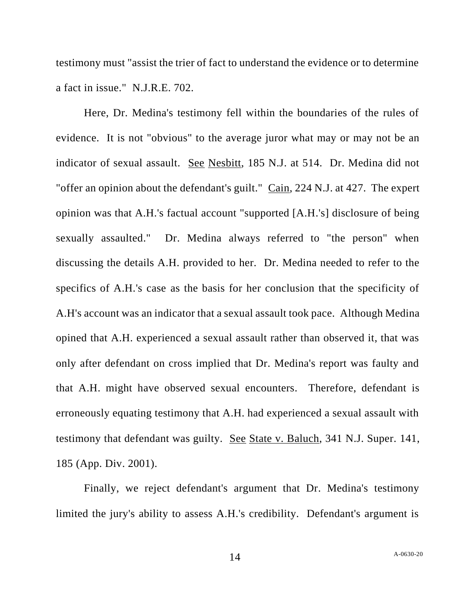testimony must "assist the trier of fact to understand the evidence or to determine a fact in issue." N.J.R.E. 702.

Here, Dr. Medina's testimony fell within the boundaries of the rules of evidence. It is not "obvious" to the average juror what may or may not be an indicator of sexual assault. See Nesbitt, 185 N.J. at 514. Dr. Medina did not "offer an opinion about the defendant's guilt." Cain, 224 N.J. at 427. The expert opinion was that A.H.'s factual account "supported [A.H.'s] disclosure of being sexually assaulted." Dr. Medina always referred to "the person" when discussing the details A.H. provided to her. Dr. Medina needed to refer to the specifics of A.H.'s case as the basis for her conclusion that the specificity of A.H's account was an indicator that a sexual assault took pace. Although Medina opined that A.H. experienced a sexual assault rather than observed it, that was only after defendant on cross implied that Dr. Medina's report was faulty and that A.H. might have observed sexual encounters. Therefore, defendant is erroneously equating testimony that A.H. had experienced a sexual assault with testimony that defendant was guilty. See State v. Baluch, 341 N.J. Super. 141, 185 (App. Div. 2001).

Finally, we reject defendant's argument that Dr. Medina's testimony limited the jury's ability to assess A.H.'s credibility. Defendant's argument is